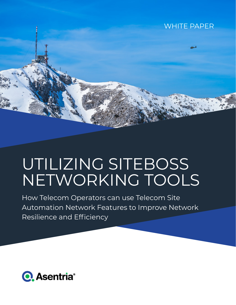# WHITE PAPER

# UTILIZING SITEBOSS NETWORKING TOOLS

How Telecom Operators can use Telecom Site Automation Network Features to Improve Network Resilience and Efficiency

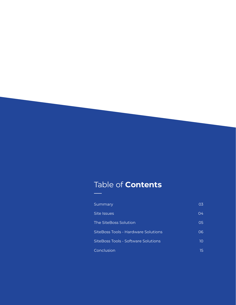# Table of **Contents**

| Summary                             | 03 |
|-------------------------------------|----|
| Site Issues                         | 04 |
| The SiteBoss Solution               | 05 |
| SiteBoss Tools - Hardware Solutions | റട |
| SiteBoss Tools - Software Solutions | 10 |
| Conclusion                          | 15 |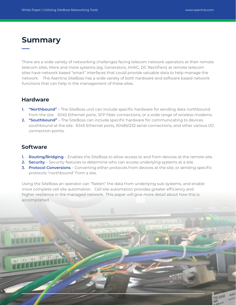**3**

# **Summary**

There are a wide variety of networking challenges facing telecom network operators at their remote telecom sites. More and more systems (eg. Generators, HVAC, DC Rectifiers) at remote telecom sites have network based "smart" interfaces that could provide valuable data to help manage the network. The Asentria SiteBoss has a wide variety of both hardware and software based network functions that can help in the management of these sites.

## **Hardware**

- **1. "Northbound"** The SiteBoss unit can include specific hardware for sending data northbound from the site. RJ45 Ethernet ports, SFP fiber connections, or a wide range of wireless modems.
- **2. "Southbound"** The SiteBoss can include specific hardware for communicating to devices southbound at the site. RJ45 Ethernet ports, RJ485/232 serial connections, and other various I/O connection points.

## **Software**

- **1. Routing/Bridging** Enables the SiteBoss to allow access to and from devices at the remote site.
- **2. Security** Security features to determine who can access underlying systems at a site.
- **3. Protocol Conversions** Converting either protocols from devices at the site, or sending specific protocols "northbound" from a site.

Using the SiteBoss an operator can "flatten" the data from underlying sub-systems, and enable more complete cell site automation. Cell site automation provides greater efficiency and higher resilience in the managed network. This paper will give more detail about how this is accomplished.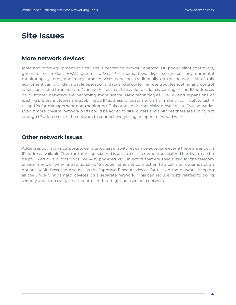# **Site Issues**

## **More network devices**

More and more equipment at a cell site is becoming network enabled. DC power plant controllers, generator controllers, HVAC systems, UPS's, IP cameras, tower light controllers, environmental monitoring systems, and many other devices were not traditionally on the network. All of this equipment can provide valuable operational data and allow for remote troubleshooting and control when connected to an operator's network. Just as all this valuable data is coming online, IP addresses on customer networks are becoming more scarce. New technologies like 5G and expansions of existing LTE technologies are gobbling up IP address for customer traffic, making it difficult to justify using IPs for management and monitoring. This problem is especially prevalent in IPv4 networks. Even if more physical network ports could be added to site routers and switches there are simply not enough IP addresses on the network to connect everything an operator would want.

## **Other network issues**

Adding enough physical ports to cell site routers or switches can be expensive even if there are enough IP address available. There are other specialized issues to cell sites where specialized hardware can be helpful. Particularly for things like -48V powered POE injectors that are specialized for the telecom environment, or when a traditional RJ45 copper Ethernet connection to a cell site router is not an option. A SiteBoss can also act as the "approved" secure device for use on the network, keeping all the underlying "smart" devices on a separate network. This can reduce costs related to doing security audits on every smart controller that might be used on a network.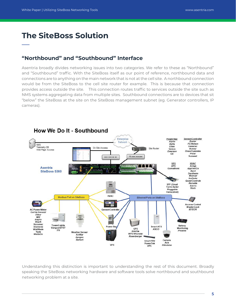# **The SiteBoss Solution**

## **"Northbound" and "Southbound" Interface**

Asentria broadly divides networking issues into two categories. We refer to these as "Northbound" and "Southbound" traffic. With the SiteBoss itself as our point of reference, northbound data and connections are to anything on the main network that is not at the cell site. A northbound connection would be from the SiteBoss to the cell site router for example. This is because that connection provides access outside the site. This connection routes traffic to services outside the site such as NMS systems aggregating data from multiple sites. Southbound connections are to devices that sit "below" the SiteBoss at the site on the SiteBoss management subnet (eg. Generator controllers, IP cameras).



Understanding this distinction is important to understanding the rest of this document. Broadly speaking the SiteBoss networking hardware and software tools solve northbound and southbound networking problem at a site.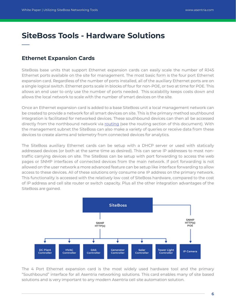# **SiteBoss Tools - Hardware Solutions**

## **Ethernet Expansion Cards**

SiteBoss base units that support Ethernet expansion cards can easily scale the number of RJ45 Ethernet ports available on the site for management. The most basic form is the four port Ethernet expansion card. Regardless of the number of ports installed, all of the auxiliary Ethernet ports are on a single logical switch. Ethernet ports scale in blocks of four for non-POE, or two at time for POE. This allows an end user to only use the number of ports needed. This scalability keeps costs down and allows the local network to scale with the number of smart devices on the site.

Once an Ethernet expansion card is added to a base SiteBoss unit a local management network can be created to provide a network for all smart devices on site. This is the primary method southbound integration is facilitated for networked devices. These southbound devices can then all be accessed directly from the northbound network via [routing](#page-9-0) (see the routing section of this document). With the management subnet the SiteBoss can also make a variety of queries or receive data from these devices to create alarms and telemetry from connected devices for analytics.

The SiteBoss auxiliary Ethernet cards can be setup with a DHCP server or used with statically addressed devices (or both at the same time as desired). This can serve IP addresses to most nontraffic carrying devices on site. The SiteBoss can be setup with port forwarding to access the web pages or SNMP interfaces of connected devices from the main network. If port forwarding is not allowed on the user network a more advanced feature can be setup like interface forwarding to allow access to these devices. All of these solutions only consume one IP address on the primary network. This functionality is accessed with the relatively low cost of SiteBoss hardware, compared to the cost of IP address and cell site router or switch capacity. Plus all the other integration advantages of the SiteBoss are gained.



The 4 Port Ethernet expansion card is the most widely used hardware tool and the primary "Southbound" interface for all Asentria networking solutions. This card enables many of site based solutions and is very important to any modern Asentria cell site automation solution.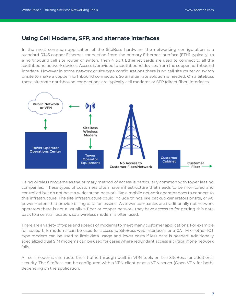## **Using Cell Modems, SFP, and alternate interfaces**

In the most common application of the SiteBoss hardware, the networking configuration is a standard RJ45 copper Ethernet connection from the primary Ethernet interface (ETH1 typically) to a northbound cell site router or switch. Then 4 port Ethernet cards are used to connect to all the southbound network devices. Access is provided to southbound devices from the copper northbound interface. However in some network or site type configurations there is no cell site router or switch onsite to make a copper northbound connection. So an alternate solution is needed. On a SiteBoss these alternate northbound connections are typically cell modems or SFP (direct fiber) interfaces.



Using wireless modems as the primary method of access is particularly common with tower leasing companies. These types of customers often have infrastructure that needs to be monitored and controlled but do not have a widespread network like a mobile network operator does to connect to this infrastructure. The site infrastructure could include things like backup generators onsite, or AC power meters that provide billing data for lessees. As tower companies are traditionally not network operators there is not a usually a fiber or copper network they have access to for getting this data back to a central location, so a wireless modem is often used.

There are a variety of types and speeds of modems to meet many customer applications. For example full speed LTE modems can be used for access to SiteBoss web interfaces, or a CAT M or other IOT type modem can be used to limit data usage and lower costs if less data is needed. Additionally specialized dual SIM modems can be used for cases where redundant access is critical if one network fails.

All cell modems can route their traffic through built in VPN tools on the SiteBoss for additional security. The SiteBoss can be configured with a VPN client or as a VPN server (Open VPN for both) depending on the application.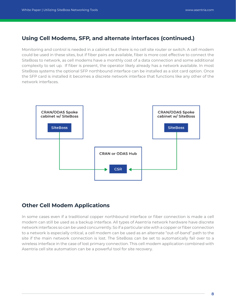## **Using Cell Modems, SFP, and alternate interfaces (continued.)**

Monitoring and control is needed in a cabinet but there is no cell site router or switch. A cell modem could be used in these sites, but if fiber pairs are available, fiber is more cost effective to connect the SiteBoss to network, as cell modems have a monthly cost of a data connection and some additional complexity to set up. If fiber is present, the operator likely already has a network available. In most SiteBoss systems the optional SFP northbound interface can be installed as a slot card option. Once the SFP card is installed it becomes a discrete network interface that functions like any other of the network interfaces.



## **Other Cell Modem Applications**

In some cases even if a traditional copper northbound interface or fiber connection is made a cell modem can still be used as a backup interface. All types of Asentria network hardware have discrete network interfaces so can be used concurrently. So if a particular site with a copper or fiber connection to a network is especially critical, a cell modem can be used as an alternate "out-of-band" path to the site if the main network connection is lost. The SiteBoss can be set to automatically fail over to a wireless interface in the case of lost primary connection. This cell modem application combined with Asentria cell site automation can be a powerful tool for site recovery.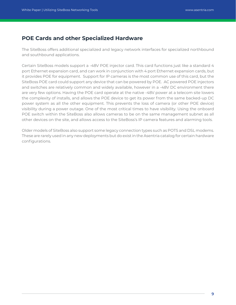## **POE Cards and other Specialized Hardware**

The SiteBoss offers additional specialized and legacy network interfaces for specialized northbound and southbound applications.

Certain SiteBoss models support a -48V POE injector card. This card functions just like a standard 4 port Ethernet expansion card, and can work in conjunction with 4 port Ethernet expansion cards, but it provides POE for equipment. Support for IP cameras is the most common use of this card, but the SiteBoss POE card could support any device that can be powered by POE. AC powered POE injectors and switches are relatively common and widely available, however in a -48V DC environment there are very few options. Having the POE card operate at the native -48V power at a telecom site lowers the complexity of installs, and allows the POE device to get its power from the same backed-up DC power system as all the other equipment. This prevents the loss of camera (or other POE device) visibility during a power outage. One of the most critical times to have visibility. Using the onboard POE switch within the SiteBoss also allows cameras to be on the same management subnet as all other devices on the site, and allows access to the SiteBoss's IP camera features and alarming tools.

Older models of SiteBoss also support some legacy connection types such as POTS and DSL modems. These are rarely used in any new deployments but do exist in the Asentria catalog for certain hardware configurations.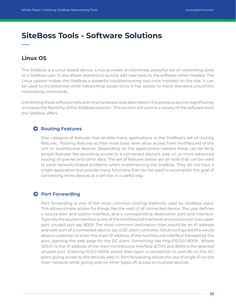# <span id="page-9-0"></span>**SiteBoss Tools - Software Solutions**

## **Linux OS**

The SiteBoss is a Linux based device. Linux provides an extremely powerful set of networking tools to a SiteBoss user. It also allows Asentria to quickly add new tools to the software when needed. The Linux system makes the SiteBoss a powerful troubleshooting tool once installed on the site. It can be used to troubleshoot other networking issues since it has access to many standard Linux/Unix networking commands.

Combining these software tools with the hardware tools described in the previous section significantly increases the flexibility of the SiteBoss solution. This section will outline a variety of the software tools the SiteBoss offers.

## **Q** Routing Features

One category of features that enable many applications is the SiteBoss's set of routing features. Routing features at their most basic level allow access from northbound of the unit to southbound devices. Depending on the applications needed these can be fairly simple features like providing access to a connected device's web UI, or more advanced routing of queries and other data. The set of features below are all tools that can be used to solve network related problems when implementing the SiteBoss. They do not have a single application but provide many functions that can be used to accomplish the goal of connecting more devices at a cell site in a useful way.

### **Port Forwarding**

Port forwarding is one of the most common routing methods used by SiteBoss users. This allows simple access for things like the web UI of connected device. The user defines a source port and source interface, and a corresponding destination port and interface. Typically the source interface is one of the northbound interfaces and source port is an open port unused port say 8009. The most common destination then would be an IP address and web port of a connected device, say a DC plant controller. Once configured this would allow a customer to enter the main IP address of the northbound interface followed by the port, opening the web page for the DC plant. Something like http://10.0.0.1:8009 . Where 10.0.0.1 is the IP address of the main northbound interface (ETH1) and 8009 is the selected unused port. Entering 10.0.0.1:8009 would then open a connection to port 80 on the DC plant giving access to the devices web UI. Port forwarding allows the use of single IP on the main network while giving web (or other types of) access to multiple devices.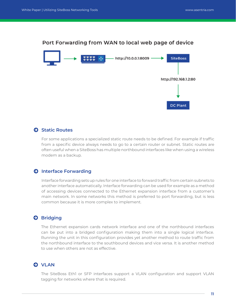# Port Forwarding from WAN to local web page of device



## **Static Routes**

For some applications a specialized static route needs to be defined. For example if traffic from a specific device always needs to go to a certain router or subnet. Static routes are often useful when a SiteBoss has multiple northbound interfaces like when using a wireless modem as a backup.

## $\Theta$  Interface Forwarding

Interface forwarding sets up rules for one interface to forward traffic from certain subnets to another interface automatically. Interface forwarding can be used for example as a method of accessing devices connected to the Ethernet expansion interface from a customer's main network. In some networks this method is preferred to port forwarding, but is less common because it is more complex to implement.

## **Bridging**

The Ethernet expansion cards network interface and one of the northbound interfaces can be put into a bridged configuration making them into a single logical interface. Running the unit in this configuration provides yet another method to route traffic from the northbound interface to the southbound devices and vice versa. It is another method to use when others are not as effective.

## **Q** VLAN

The SiteBoss Eth1 or SFP interfaces support a VLAN configuration and support VLAN tagging for networks where that is required.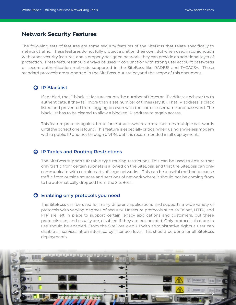## **Network Security Features**

The following sets of features are some security features of the SiteBoss that relate specifically to network traffic. These features do not fully protect a unit on their own. But when used in conjunction with other security features, and a properly designed network, they can provide an additional layer of protection. These features should always be used in conjunction with strong user account passwords or secure authentication methods supported in the SiteBoss like RADIUS and TACACS+. Those standard protocols are supported in the SiteBoss, but are beyond the scope of this document.

## **D** IP Blacklist

If enabled, the IP blacklist feature counts the number of times an IP address and user try to authenticate. If they fail more than a set number of times (say 10). That IP address is black listed and prevented from logging on even with the correct username and password. The black list has to be cleared to allow a blocked IP address to regain access.

This feature protects against brute force attacks where an attacker tries multiple passwords until the correct one is found. This feature is especially critical when using a wireless modem with a public IP and not through a VPN, but it is recommended in all deployments.

#### **IP Tables and Routing Restrictions**

The SiteBoss supports IP table type routing restrictions. This can be used to ensure that only traffic from certain subnets is allowed on the SiteBoss, and that the SiteBoss can only communicate with certain parts of large networks. This can be a useful method to cause traffic from outside sources and sections of network where it should not be coming from to be automatically dropped from the SiteBoss.

#### **Enabling only protocols you need**

The SiteBoss can be used for many different applications and supports a wide variety of protocols with varying degrees of security. Unsecure protocols such as Telnet, HTTP, and FTP are left in place to support certain legacy applications and customers, but these protocols can, and usually are, disabled if they are not needed. Only protocols that are in use should be enabled. From the SiteBoss web UI with administrative rights a user can disable all services at an interface by interface level. This should be done for all SiteBoss deployments.

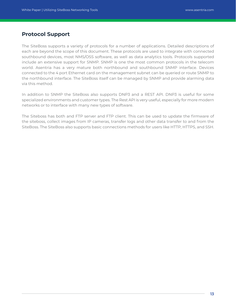## **Protocol Support**

The SiteBoss supports a variety of protocols for a number of applications. Detailed descriptions of each are beyond the scope of this document. These protocols are used to integrate with connected southbound devices, most NMS/OSS software, as well as data analytics tools. Protocols supported include an extensive support for SNMP. SNMP is one the most common protocols in the telecom world. Asentria has a very mature both northbound and southbound SNMP interface. Devices connected to the 4 port Ethernet card on the management subnet can be queried or route SNMP to the northbound interface. The SiteBoss itself can be managed by SNMP and provide alarming data via this method.

In addition to SNMP the SiteBoss also supports DNP3 and a REST API. DNP3 is useful for some specialized environments and customer types. The Rest API is very useful, especially for more modern networks or to interface with many new types of software.

The Siteboss has both and FTP server and FTP client. This can be used to update the firmware of the siteboss, collect images from IP cameras, transfer logs and other data transfer to and from the SiteBoss. The SiteBoss also supports basic connections methods for users like HTTP, HTTPS, and SSH.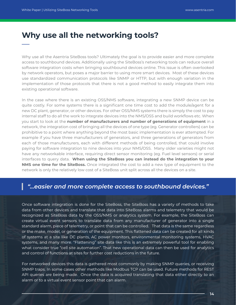# **Why use all the networking tools?**

Why use all the Asentria SiteBoss tools? Ultimately the goal is to provide easier and more complete access to southbound devices. Additionally using the SiteBoss's networking tools can reduce overall software integration costs when bringing southbound devices online. This issue is often overlooked by network operators, but poses a major barrier to using more smart devices. Most of these devices use standardized communication protocols like SNMP or HTTP, but with enough variation in the implementation of those protocols that there is not a good method to easily integrate them into existing operational software.

In the case where there is an existing OSS/NMS software, integrating a new SNMP device can be quite costly. For some systems there is a significant one time cost to add the module/agent for a new DC plant, generator, or other devices. For other OSS/NMS systems there is simply the cost to pay internal staff to do all the work to integrate devices into the NMS/OSS and build workflows etc. When you start to look at the **number of manufacturers and number of generations of equipment** in a network, the integration cost of bringing all the devices of one type (eg. Generator controllers) can be prohibitive to a point where anything beyond the most basic implementation is ever attempted. For example if you have three manufacturers of generators, and three generations of generators from each of those manufacturers, each with different methods of being controlled, that could involve paying for software integration to nine devices into your NMS/OSS. Many older varieties might not have any networkable interface, requiring direct sensor monitoring (eg. Fuel level sensors) or serial interfaces to query data. **When using the SiteBoss you can instead do the integration to your NMS one time for the SiteBoss.** Once integrated the cost to add a new type of equipment to the network is only the relatively low cost of a SiteBoss unit split across all the devices on a site.

## *"...easier and more complete access to southbound devices."*

Once software integration is done for the SiteBoss, the SiteBoss has a variety of methods to take data from other devices and translate that data into SiteBoss alarms and telemetry that would be recognized as SiteBoss data by the OSS/NMS or analytics system. For example, the SiteBoss can create virtual event sensors to translate data from any manufacturer of generator into a single standard alarm, piece of telemetry, or point that can be controlled. That data is the same regardless or the make, model, or generation of the equipment. This flattened data can be created for all kinds of systems at a site like DC plants, AC power monitors, environmental monitoring systems, HVAC systems, and many more. "Flattening" site data like this is an extremely powerful tool for enabling what consider true "cell site automation". That new operational data can then be used for analytics and control of functions at sites for further cost reductions in the future.

For networked devices this data is gathered most commonly by making SNMP queries, or receiving SNMP traps. In some cases other methods like Modbus TCP can be used. Future methods for REST API queries are being made. Once the data is acquired translating that data either directly to an alarm or to a virtual event sensor point that can alarm.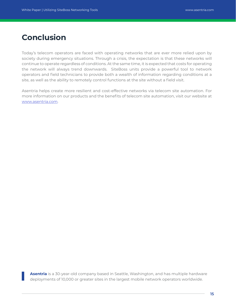# **Conclusion**

Today's telecom operators are faced with operating networks that are ever more relied upon by society during emergency situations. Through a crisis, the expectation is that these networks will continue to operate regardless of conditions. At the same time, it is expected that costs for operating the network will always trend downwards. SiteBoss units provide a powerful tool to network operators and field technicians to provide both a wealth of information regarding conditions at a site, as well as the ability to remotely control functions at the site without a field visit.

Asentria helps create more resilient and cost-effective networks via telecom site automation. For more information on our products and the benefits of telecom site automation, visit our website at [www.asentria.com](http://www.asentria.com).

**Asentria** is a 30-year-old company based in Seattle, Washington, and has multiple hardware deployments of 10,000 or greater sites in the largest mobile network operators worldwide.